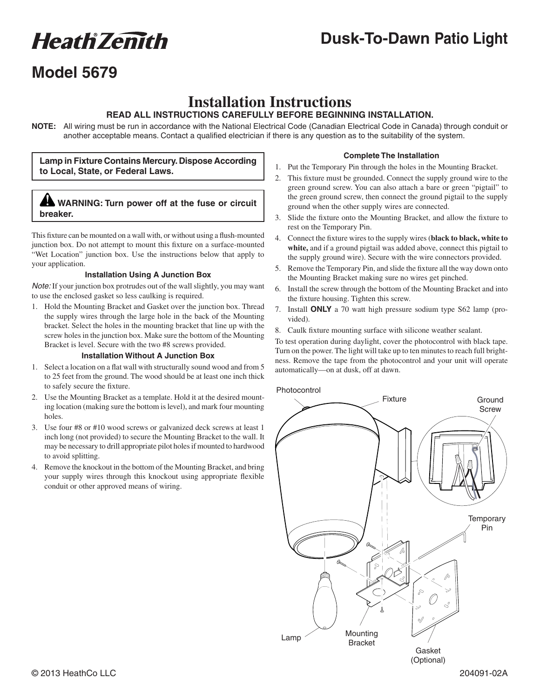# **Heath Zemith**

# **Dusk-To-Dawn Patio Light**

# **Model 5679**

### **Installation Instructions**

### **READ ALL INSTRUCTIONS CAREFULLY BEFORE BEGINNING INSTALLATION.**

**NOTE:** All wiring must be run in accordance with the National Electrical Code (Canadian Electrical Code in Canada) through conduit or another acceptable means. Contact a qualified electrician if there is any question as to the suitability of the system.

### **Lamp in Fixture Contains Mercury. Dispose According to Local, State, or Federal Laws.**

### **WARNING: Turn power off at the fuse or circuit breaker.**

This fixture can be mounted on a wall with, or without using a flush-mounted junction box. Do not attempt to mount this fixture on a surface-mounted "Wet Location" junction box. Use the instructions below that apply to your application.

### **Installation Using A Junction Box**

*Note:* If your junction box protrudes out of the wall slightly, you may want to use the enclosed gasket so less caulking is required.

1. Hold the Mounting Bracket and Gasket over the junction box. Thread the supply wires through the large hole in the back of the Mounting bracket. Select the holes in the mounting bracket that line up with the screw holes in the junction box. Make sure the bottom of the Mounting Bracket is level. Secure with the two #8 screws provided.

### **Installation Without A Junction Box**

- 1. Select a location on a flat wall with structurally sound wood and from 5 to 25 feet from the ground. The wood should be at least one inch thick to safely secure the fixture.
- 2. Use the Mounting Bracket as a template. Hold it at the desired mounting location (making sure the bottom is level), and mark four mounting holes.
- 3. Use four #8 or #10 wood screws or galvanized deck screws at least 1 inch long (not provided) to secure the Mounting Bracket to the wall. It may be necessary to drill appropriate pilot holes if mounted to hardwood to avoid splitting.
- 4. Remove the knockout in the bottom of the Mounting Bracket, and bring your supply wires through this knockout using appropriate flexible conduit or other approved means of wiring.

### **Complete The Installation**

- 1. Put the Temporary Pin through the holes in the Mounting Bracket.
- 2. This fixture must be grounded. Connect the supply ground wire to the green ground screw. You can also attach a bare or green "pigtail" to the green ground screw, then connect the ground pigtail to the supply ground when the other supply wires are connected.
- 3. Slide the fixture onto the Mounting Bracket, and allow the fixture to rest on the Temporary Pin.
- 4. Connect the fixture wires to the supply wires (**black to black, white to white,** and if a ground pigtail was added above, connect this pigtail to the supply ground wire). Secure with the wire connectors provided.
- 5. Remove the Temporary Pin, and slide the fixture all the way down onto the Mounting Bracket making sure no wires get pinched.
- 6. Install the screw through the bottom of the Mounting Bracket and into the fixture housing. Tighten this screw.
- 7. Install **ONLY** a 70 watt high pressure sodium type S62 lamp (provided).
- 8. Caulk fixture mounting surface with silicone weather sealant.

To test operation during daylight, cover the photocontrol with black tape. Turn on the power. The light will take up to ten minutes to reach full brightness. Remove the tape from the photocontrol and your unit will operate automatically—on at dusk, off at dawn.



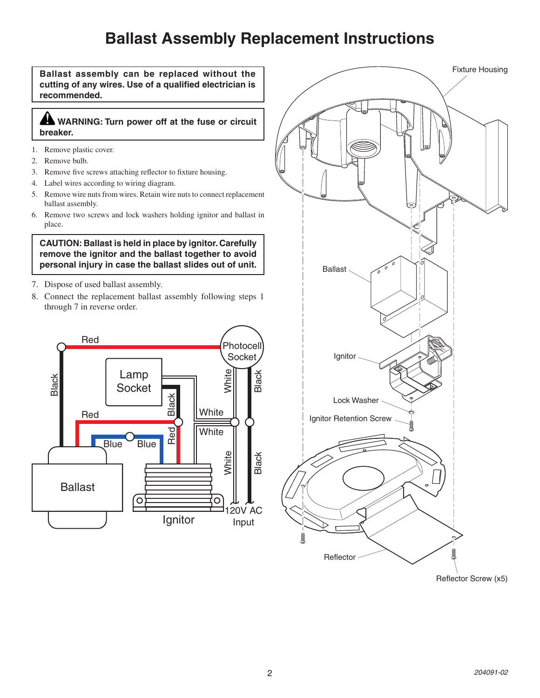# **Ballast Assembly Replacement Instructions**

**Ballast assembly can be replaced without the cutting of any wires. Use of a qualified electrician is recommended.**

### **WARNING: Turn power off at the fuse or circuit breaker.**

- 1. Remove plastic cover.
- 2. Remove bulb.
- 3. Remove five screws attaching reflector to fixture housing.
- 4. Label wires according to wiring diagram.
- 5. Remove wire nuts from wires. Retain wire nuts to connect replacement ballast assembly.
- 6. Remove two screws and lock washers holding ignitor and ballast in place.

**CAUTION: Ballast is held in place by ignitor. Carefully remove the ignitor and the ballast together to avoid personal injury in case the ballast slides out of unit.**

- 7. Dispose of used ballast assembly.
- 8. Connect the replacement ballast assembly following steps 1 through 7 in reverse order.



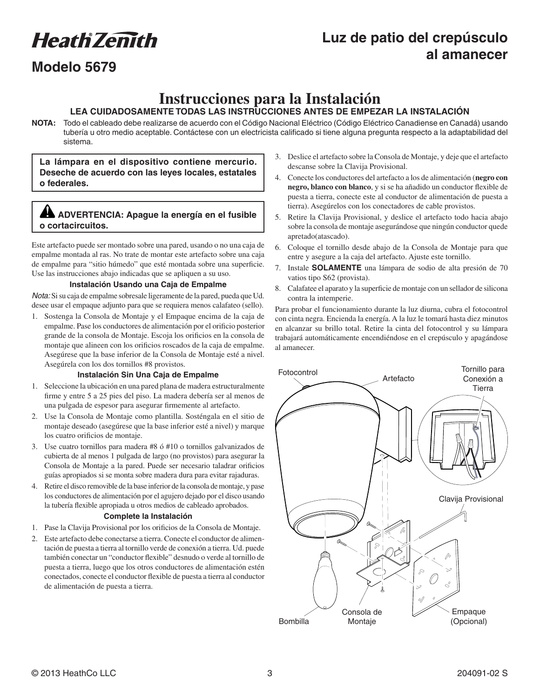# **Heath Zenith**

### **Luz de patio del crepúsculo al amanecer**

### **Modelo 5679**

### **Instrucciones para la Instalación**

### **LEA CUIDADOSAMENTE TODAS LAS INSTRUCCIONES ANTES DE EMPEZAR LA INSTALACIÓN**

**NOTA:** Todo el cableado debe realizarse de acuerdo con el Código Nacional Eléctrico (Código Eléctrico Canadiense en Canadá) usando tubería u otro medio aceptable. Contáctese con un electricista calificado si tiene alguna pregunta respecto a la adaptabilidad del sistema.

**La lámpara en el dispositivo contiene mercurio. Deseche de acuerdo con las leyes locales, estatales o federales.**

### **ADVERTENCIA: Apague la energía en el fusible o cortacircuitos.**

Este artefacto puede ser montado sobre una pared, usando o no una caja de empalme montada al ras. No trate de montar este artefacto sobre una caja de empalme para "sitio húmedo" que esté montada sobre una superficie. Use las instrucciones abajo indicadas que se apliquen a su uso.

### **Instalación Usando una Caja de Empalme**

*Nota:* Si su caja de empalme sobresale ligeramente de la pared, pueda que Ud. desee usar el empaque adjunto para que se requiera menos calafateo (sello).

1. Sostenga la Consola de Montaje y el Empaque encima de la caja de empalme. Pase los conductores de alimentación por el orificio posterior grande de la consola de Montaje. Escoja los orificios en la consola de montaje que alineen con los orificios roscados de la caja de empalme. Asegúrese que la base inferior de la Consola de Montaje esté a nivel. Asegúrela con los dos tornillos #8 provistos.

#### **Instalación Sin Una Caja de Empalme**

- 1. Seleccione la ubicación en una pared plana de madera estructuralmente firme y entre 5 a 25 pies del piso. La madera debería ser al menos de una pulgada de espesor para asegurar firmemente al artefacto.
- 2. Use la Consola de Montaje como plantilla. Sosténgala en el sitio de montaje deseado (asegúrese que la base inferior esté a nivel) y marque los cuatro orificios de montaje.
- 3. Use cuatro tornillos para madera #8 ó #10 o tornillos galvanizados de cubierta de al menos 1 pulgada de largo (no provistos) para asegurar la Consola de Montaje a la pared. Puede ser necesario taladrar orificios guías apropiados si se monta sobre madera dura para evitar rajaduras.
- 4. Retire el disco removible de la base inferior de la consola de montaje, y pase los conductores de alimentación por el agujero dejado por el disco usando la tubería flexible apropiada u otros medios de cableado aprobados.

### **Complete la Instalación**

- 1. Pase la Clavija Provisional por los orificios de la Consola de Montaje.
- 2. Este artefacto debe conectarse a tierra. Conecte el conductor de alimentación de puesta a tierra al tornillo verde de conexión a tierra. Ud. puede también conectar un "conductor flexible" desnudo o verde al tornillo de puesta a tierra, luego que los otros conductores de alimentación estén conectados, conecte el conductor flexible de puesta a tierra al conductor de alimentación de puesta a tierra.
- 3. Deslice el artefacto sobre la Consola de Montaje, y deje que el artefacto descanse sobre la Clavija Provisional.
- 4. Conecte los conductores del artefacto a los de alimentación (**negro con negro, blanco con blanco**, y si se ha añadido un conductor flexible de puesta a tierra, conecte este al conductor de alimentación de puesta a tierra). Asegúrelos con los conectadores de cable provistos.
- 5. Retire la Clavija Provisional, y deslice el artefacto todo hacia abajo sobre la consola de montaje asegurándose que ningún conductor quede apretado(atascado).
- 6. Coloque el tornillo desde abajo de la Consola de Montaje para que entre y asegure a la caja del artefacto. Ajuste este tornillo.
- 7. Instale **SOLAMENTE** una lámpara de sodio de alta presión de 70 vatios tipo S62 (provista).
- 8. Calafatee el aparato y la superficie de montaje con un sellador de silicona contra la intemperie.

Para probar el funcionamiento durante la luz diurna, cubra el fotocontrol con cinta negra. Encienda la energía. A la luz le tomará hasta diez minutos en alcanzar su brillo total. Retire la cinta del fotocontrol y su lámpara trabajará automáticamente encendiéndose en el crepúsculo y apagándose al amanecer.

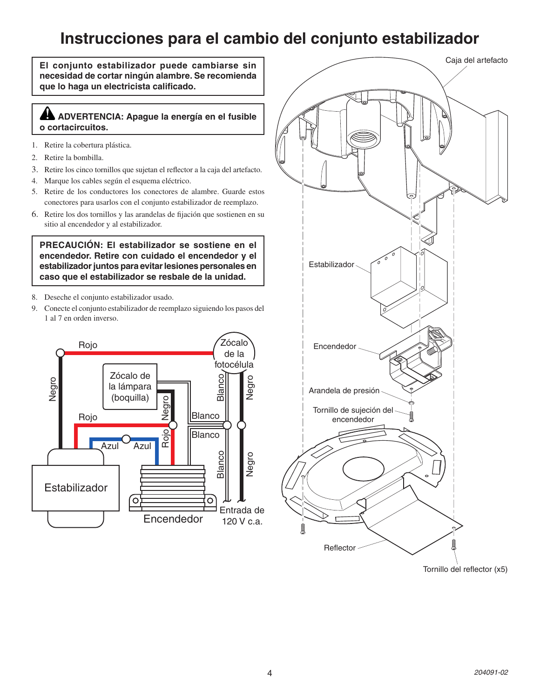# **Instrucciones para el cambio del conjunto estabilizador**

**El conjunto estabilizador puede cambiarse sin necesidad de cortar ningún alambre. Se recomienda que lo haga un electricista calificado.**

### **ADVERTENCIA: Apague la energía en el fusible o cortacircuitos.**

- 1. Retire la cobertura plástica.
- 2. Retire la bombilla.
- 3. Retire los cinco tornillos que sujetan el reflector a la caja del artefacto.
- 4. Marque los cables según el esquema eléctrico.
- 5. Retire de los conductores los conectores de alambre. Guarde estos conectores para usarlos con el conjunto estabilizador de reemplazo.
- 6. Retire los dos tornillos y las arandelas de fijación que sostienen en su sitio al encendedor y al estabilizador.

**PRECAUCIÓN: El estabilizador se sostiene en el encendedor. Retire con cuidado el encendedor y el estabilizador juntos para evitar lesiones personales en caso que el estabilizador se resbale de la unidad.**

- 8. Deseche el conjunto estabilizador usado.
- 9. Conecte el conjunto estabilizador de reemplazo siguiendo los pasos del 1 al 7 en orden inverso.



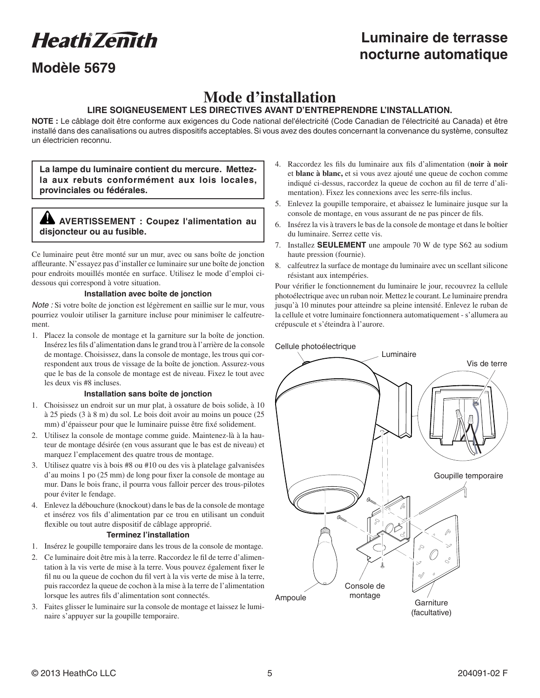**Heath Zemith** 

### **Modèle 5679**

### **Luminaire de terrasse nocturne automatique**

# **Mode d'installation**

### **LIRE SOIGNEUSEMENT LES DIRECTIVES AVANT D'ENTREPRENDRE L'INSTALLATION.**

NOTE : Le câblage doit être conforme aux exigences du Code national del'électricité (Code Canadian de l'électricité au Canada) et être installé dans des canalisations ou autres dispositifs acceptables. Si vous avez des doutes concernant la convenance du système, consultez un électricien reconnu.

**La lampe du luminaire contient du mercure. Mettezla aux rebuts conformément aux lois locales, provinciales ou fédérales.**

### **AVERTISSEMENT : Coupez l'alimentation au disjoncteur ou au fusible.**

Ce luminaire peut être monté sur un mur, avec ou sans boîte de jonction affleurante. N'essayez pas d'installer ce luminaire sur une boîte de jonction pour endroits mouillés montée en surface. Utilisez le mode d'emploi cidessous qui correspond à votre situation.

#### **Installation avec boîte de jonction**

*Note :* Si votre boîte de jonction est légèrement en saillie sur le mur, vous pourriez vouloir utiliser la garniture incluse pour minimiser le calfeutrement.

1. Placez la console de montage et la garniture sur la boîte de jonction. Insérez les fils d'alimentation dans le grand trou à l'arrière de la console de montage. Choisissez, dans la console de montage, les trous qui correspondent aux trous de vissage de la boîte de jonction. Assurez-vous que le bas de la console de montage est de niveau. Fixez le tout avec les deux vis #8 incluses.

#### **Installation sans boîte de jonction**

- 1. Choisissez un endroit sur un mur plat, à ossature de bois solide, à 10 à 25 pieds (3 à 8 m) du sol. Le bois doit avoir au moins un pouce (25 mm) d'épaisseur pour que le luminaire puisse être fixé solidement.
- 2. Utilisez la console de montage comme guide. Maintenez-là à la hauteur de montage désirée (en vous assurant que le bas est de niveau) et marquez l'emplacement des quatre trous de montage.
- 3. Utilisez quatre vis à bois #8 ou #10 ou des vis à platelage galvanisées d'au moins 1 po (25 mm) de long pour fixer la console de montage au mur. Dans le bois franc, il pourra vous falloir percer des trous-pilotes pour éviter le fendage.
- 4. Enlevez la débouchure (knockout) dans le bas de la console de montage et insérez vos fils d'alimentation par ce trou en utilisant un conduit flexible ou tout autre dispositif de câblage approprié.

#### **Terminez l'installation**

- 1. Insérez le goupille temporaire dans les trous de la console de montage.
- 2. Ce luminaire doit être mis à la terre. Raccordez le fil de terre d'alimentation à la vis verte de mise à la terre. Vous pouvez également fixer le fil nu ou la queue de cochon du fil vert à la vis verte de mise à la terre, puis raccordez la queue de cochon à la mise à la terre de l'alimentation lorsque les autres fils d'alimentation sont connectés.
- 3. Faites glisser le luminaire sur la console de montage et laissez le luminaire s'appuyer sur la goupille temporaire.
- 4. Raccordez les fils du luminaire aux fils d'alimentation (**noir à noir** et **blanc à blanc,** et si vous avez ajouté une queue de cochon comme indiqué ci-dessus, raccordez la queue de cochon au fil de terre d'alimentation). Fixez les connexions avec les serre-fils inclus.
- 5. Enlevez la goupille temporaire, et abaissez le luminaire jusque sur la console de montage, en vous assurant de ne pas pincer de fils.
- 6. Insérez la vis à travers le bas de la console de montage et dans le boîtier du luminaire. Serrez cette vis.
- 7. Installez **SEULEMENT** une ampoule 70 W de type S62 au sodium haute pression (fournie).
- 8. calfeutrez la surface de montage du luminaire avec un scellant silicone résistant aux intempéries.

Pour vérifier le fonctionnement du luminaire le jour, recouvrez la cellule photoélectrique avec un ruban noir. Mettez le courant. Le luminaire prendra jusqu'à 10 minutes pour atteindre sa pleine intensité. Enlevez le ruban de la cellule et votre luminaire fonctionnera automatiquement - s'allumera au crépuscule et s'éteindra à l'aurore.

Cellule photoélectrique

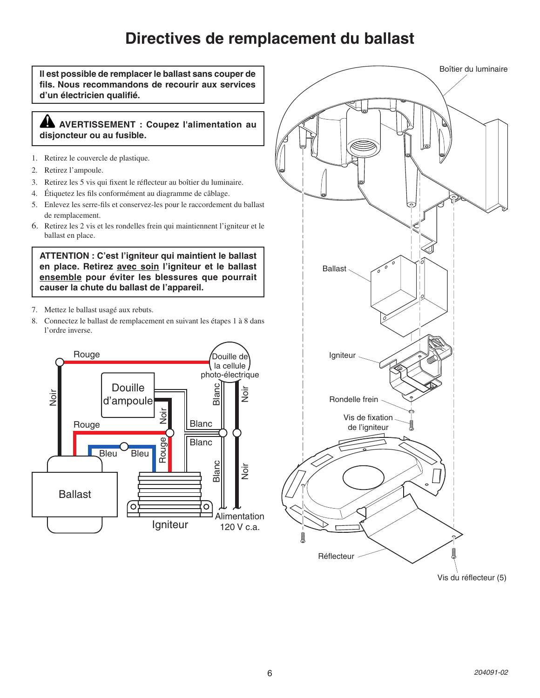# **Directives de remplacement du ballast**

Boîtier du luminaire **Il est possible de remplacer le ballast sans couper de fils. Nous recommandons de recourir aux services d'un électricien qualifié. AVERTISSEMENT : Coupez l'alimentation au disjoncteur ou au fusible.**1. Retirez le couvercle de plastique. 2. Retirez l'ampoule. 3. Retirez les 5 vis qui fixent le réflecteur au boîtier du luminaire. 4. Étiquetez les fils conformément au diagramme de câblage. 5. Enlevez les serre-fils et conservez-les pour le raccordement du ballast de remplacement. 6. Retirez les 2 vis et les rondelles frein qui maintiennent l'igniteur et le ballast en place. **ATTENTION : C'est l'igniteur qui maintient le ballast en place. Retirez avec soin l'igniteur et le ballast**  Ballast **ensemble pour éviter les blessures que pourrait causer la chute du ballast de l'appareil.** 7. Mettez le ballast usagé aux rebuts. 8. Connectez le ballast de remplacement en suivant les étapes 1 à 8 dans l'ordre inverse. Rouge Douille de Igniteur la cellule photo-électrique **Douille** Blanc Noir Noir Rondelle frein d'ampoule Noir Vis de fixation Blanc Rouge de l'igniteur Rouge<sub>J</sub> Blanc **Bleu** Bleu Blanc Noir Ballast  $\circ$  $\circ$ Alimentation Igniteur 120 V c.a.

Vis du réflecteur (5)

Réflecteur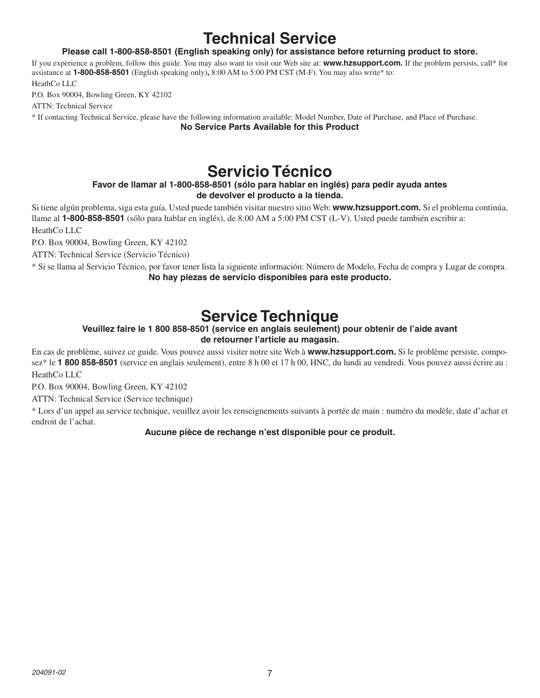# **Technical Service**

### **Please call 1-800-858-8501 (English speaking only) for assistance before returning product to store.**

If you experience a problem, follow this guide. You may also want to visit our Web site at: **www.hzsupport.com.** If the problem persists, call\* for assistance at **1-800-858-8501** (English speaking only)**,** 8:00 AM to 5:00 PM CST (M-F). You may also write\* to:

HeathCo LLC

P.O. Box 90004, Bowling Green, KY 42102

ATTN: Technical Service

\* If contacting Technical Service, please have the following information available: Model Number, Date of Purchase, and Place of Purchase. **No Service Parts Available for this Product**

### **Servicio Técnico**

### **Favor de llamar al 1-800-858-8501 (sólo para hablar en inglés) para pedir ayuda antes de devolver el producto a la tienda.**

Si tiene algún problema, siga esta guía. Usted puede también visitar nuestro sitio Web: **www.hzsupport.com.** Si el problema continúa, llame al **1-800-858-8501** (sólo para hablar en inglés), de 8:00 AM a 5:00 PM CST (L-V). Usted puede también escribir a: HeathCo LLC

P.O. Box 90004, Bowling Green, KY 42102

ATTN: Technical Service (Servicio Técnico)

\* Si se llama al Servicio Técnico, por favor tener lista la siguiente información: Número de Modelo, Fecha de compra y Lugar de compra. **No hay piezas de servicio disponibles para este producto.**

# **Service Technique**

### **Veuillez faire le 1 800 858-8501 (service en anglais seulement) pour obtenir de l'aide avant de retourner l'article au magasin.**

En cas de problème, suivez ce guide. Vous pouvez aussi visiter notre site Web à **www.hzsupport.com.** Si le problème persiste, composez\* le **1 800 858-8501** (service en anglais seulement), entre 8 h 00 et 17 h 00, HNC, du lundi au vendredi. Vous pouvez aussi écrire au : HeathCo LLC

P.O. Box 90004, Bowling Green, KY 42102

ATTN: Technical Service (Service technique)

\* Lors d'un appel au service technique, veuillez avoir les renseignements suivants à portée de main : numéro du modèle, date d'achat et endroit de l'achat.

### **Aucune pièce de rechange n'est disponible pour ce produit.**